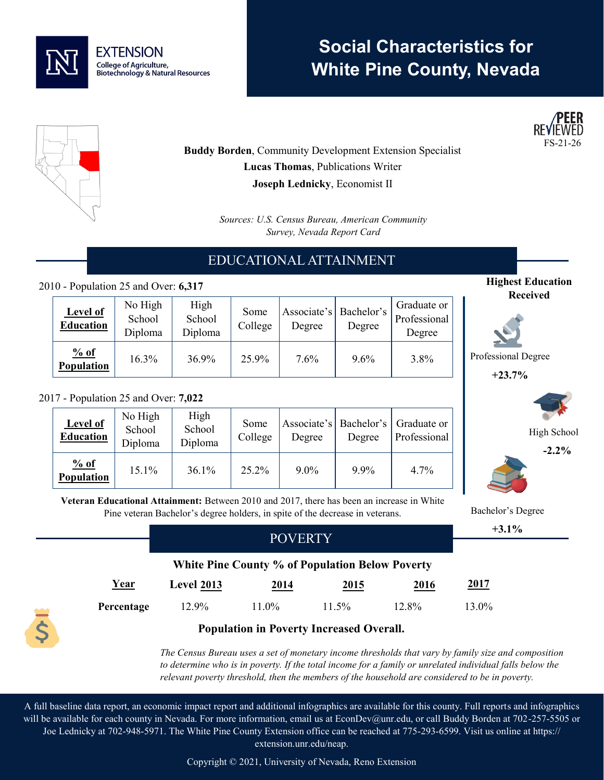

# **Social Characteristics for White Pine County, Nevada**





**Buddy Borden**, Community Development Extension Specialist **Lucas Thomas**, Publications Writer **Joseph Lednicky**, Economist II

> *Sources: U.S. Census Bureau, American Community Survey, Nevada Report Card*

# EDUCATIONAL ATTAINMENT

#### 2010 - Population 25 and Over: **6,317**

| Level of<br><b>Education</b> | No High<br>School<br>Diploma | High<br>School<br>Diploma | Some<br>College | Associate's   Bachelor's<br>Degree | Degree  | Graduate or<br>Professional<br>Degree |
|------------------------------|------------------------------|---------------------------|-----------------|------------------------------------|---------|---------------------------------------|
| % of<br><b>Population</b>    | 16.3%                        | 36.9%                     | 25.9%           | 7.6%                               | $9.6\%$ | 3.8%                                  |

#### 2017 - Population 25 and Over: **7,022**

| <b>Level of</b><br><b>Education</b> | No High<br>School<br>Diploma | High<br>School<br>Diploma | Some<br>College | Degree  | Degree | Associate's   Bachelor's   Graduate or<br>Professional |
|-------------------------------------|------------------------------|---------------------------|-----------------|---------|--------|--------------------------------------------------------|
| % of<br>Population                  | 15.1%                        | 36.1%                     | 25.2%           | $9.0\%$ | 9.9%   | $4.7\%$                                                |

**Received**

**Highest Education** 

Professional Degree

**+23.7%**



**-2.2%**



**+3.1%**

**Veteran Educational Attainment:** Between 2010 and 2017, there has been an increase in White Pine veteran Bachelor's degree holders, in spite of the decrease in veterans. Bachelor's Degree

### **White Pine County % of Population Below Poverty**

POVERTY

| <u>Year</u> | <b>Level 2013</b> | 2014  | 2015  | 2016  | <u>2017</u> |
|-------------|-------------------|-------|-------|-------|-------------|
| Percentage  | 12.9%             | 11.0% | 11.5% | 12.8% | 13.0%       |



*The Census Bureau uses a set of monetary income thresholds that vary by family size and composition to determine who is in poverty. If the total income for a family or unrelated individual falls below the relevant poverty threshold, then the members of the household are considered to be in poverty.* 

A full baseline data report, an economic impact report and additional infographics are available for this county. Full reports and infographics will be available for each county in Nevada. For more information, email us at EconDev@unr.edu, or call Buddy Borden at 702-257-5505 or Joe Lednicky at 702-948-5971. The White Pine County Extension office can be reached at 775-293-6599. Visit us online at https:// extension.unr.edu/neap.

Copyright © 2021, University of Nevada, Reno Extension